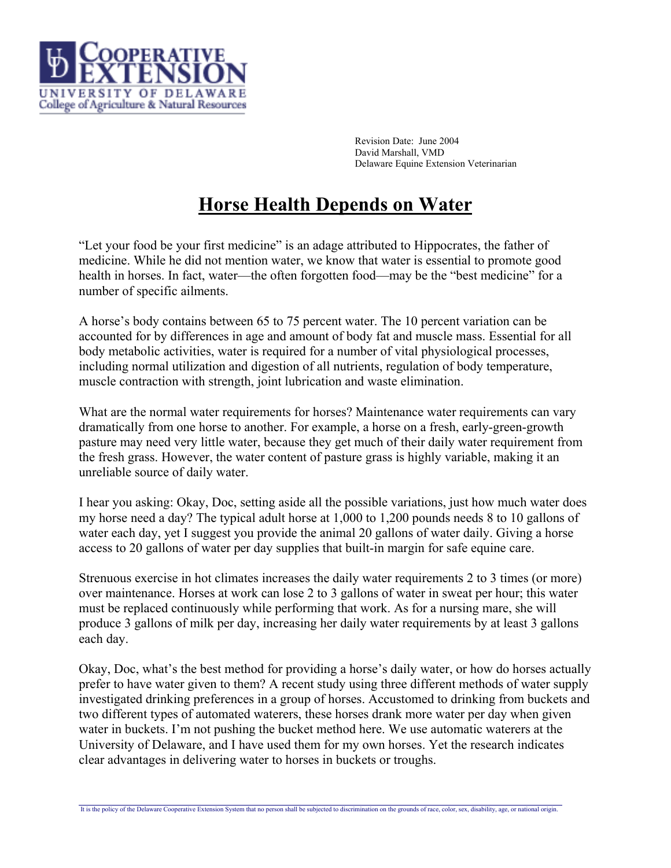

Revision Date: June 2004 David Marshall, VMD Delaware Equine Extension Veterinarian

## **Horse Health Depends on Water**

"Let your food be your first medicine" is an adage attributed to Hippocrates, the father of medicine. While he did not mention water, we know that water is essential to promote good health in horses. In fact, water—the often forgotten food—may be the "best medicine" for a number of specific ailments.

A horse's body contains between 65 to 75 percent water. The 10 percent variation can be accounted for by differences in age and amount of body fat and muscle mass. Essential for all body metabolic activities, water is required for a number of vital physiological processes, including normal utilization and digestion of all nutrients, regulation of body temperature, muscle contraction with strength, joint lubrication and waste elimination.

What are the normal water requirements for horses? Maintenance water requirements can vary dramatically from one horse to another. For example, a horse on a fresh, early-green-growth pasture may need very little water, because they get much of their daily water requirement from the fresh grass. However, the water content of pasture grass is highly variable, making it an unreliable source of daily water.

I hear you asking: Okay, Doc, setting aside all the possible variations, just how much water does my horse need a day? The typical adult horse at 1,000 to 1,200 pounds needs 8 to 10 gallons of water each day, yet I suggest you provide the animal 20 gallons of water daily. Giving a horse access to 20 gallons of water per day supplies that built-in margin for safe equine care.

Strenuous exercise in hot climates increases the daily water requirements 2 to 3 times (or more) over maintenance. Horses at work can lose 2 to 3 gallons of water in sweat per hour; this water must be replaced continuously while performing that work. As for a nursing mare, she will produce 3 gallons of milk per day, increasing her daily water requirements by at least 3 gallons each day.

Okay, Doc, what's the best method for providing a horse's daily water, or how do horses actually prefer to have water given to them? A recent study using three different methods of water supply investigated drinking preferences in a group of horses. Accustomed to drinking from buckets and two different types of automated waterers, these horses drank more water per day when given water in buckets. I'm not pushing the bucket method here. We use automatic waterers at the University of Delaware, and I have used them for my own horses. Yet the research indicates clear advantages in delivering water to horses in buckets or troughs.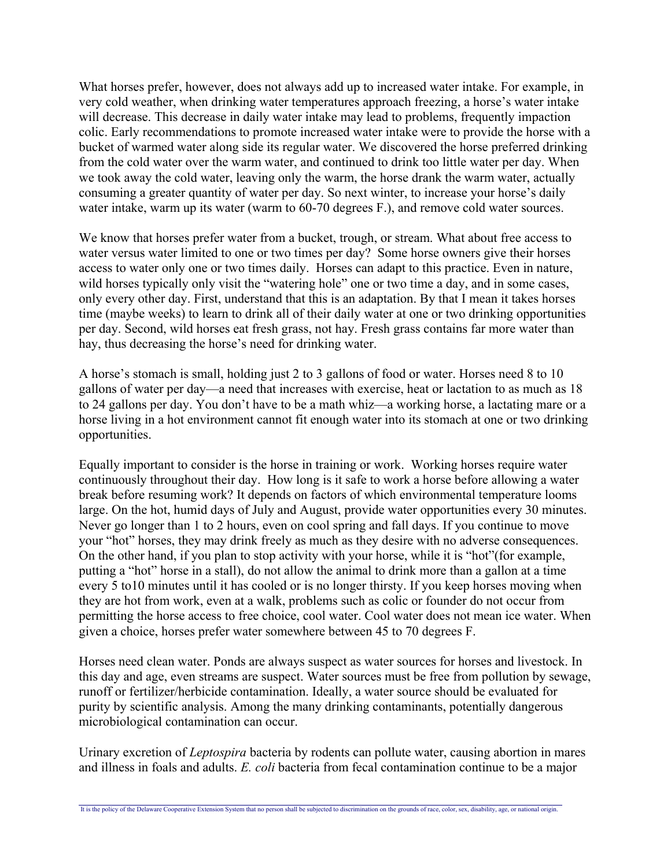What horses prefer, however, does not always add up to increased water intake. For example, in very cold weather, when drinking water temperatures approach freezing, a horse's water intake will decrease. This decrease in daily water intake may lead to problems, frequently impaction colic. Early recommendations to promote increased water intake were to provide the horse with a bucket of warmed water along side its regular water. We discovered the horse preferred drinking from the cold water over the warm water, and continued to drink too little water per day. When we took away the cold water, leaving only the warm, the horse drank the warm water, actually consuming a greater quantity of water per day. So next winter, to increase your horse's daily water intake, warm up its water (warm to 60-70 degrees F.), and remove cold water sources.

We know that horses prefer water from a bucket, trough, or stream. What about free access to water versus water limited to one or two times per day? Some horse owners give their horses access to water only one or two times daily. Horses can adapt to this practice. Even in nature, wild horses typically only visit the "watering hole" one or two time a day, and in some cases, only every other day. First, understand that this is an adaptation. By that I mean it takes horses time (maybe weeks) to learn to drink all of their daily water at one or two drinking opportunities per day. Second, wild horses eat fresh grass, not hay. Fresh grass contains far more water than hay, thus decreasing the horse's need for drinking water.

A horse's stomach is small, holding just 2 to 3 gallons of food or water. Horses need 8 to 10 gallons of water per day—a need that increases with exercise, heat or lactation to as much as 18 to 24 gallons per day. You don't have to be a math whiz—a working horse, a lactating mare or a horse living in a hot environment cannot fit enough water into its stomach at one or two drinking opportunities.

Equally important to consider is the horse in training or work. Working horses require water continuously throughout their day. How long is it safe to work a horse before allowing a water break before resuming work? It depends on factors of which environmental temperature looms large. On the hot, humid days of July and August, provide water opportunities every 30 minutes. Never go longer than 1 to 2 hours, even on cool spring and fall days. If you continue to move your "hot" horses, they may drink freely as much as they desire with no adverse consequences. On the other hand, if you plan to stop activity with your horse, while it is "hot"(for example, putting a "hot" horse in a stall), do not allow the animal to drink more than a gallon at a time every 5 to10 minutes until it has cooled or is no longer thirsty. If you keep horses moving when they are hot from work, even at a walk, problems such as colic or founder do not occur from permitting the horse access to free choice, cool water. Cool water does not mean ice water. When given a choice, horses prefer water somewhere between 45 to 70 degrees F.

Horses need clean water. Ponds are always suspect as water sources for horses and livestock. In this day and age, even streams are suspect. Water sources must be free from pollution by sewage, runoff or fertilizer/herbicide contamination. Ideally, a water source should be evaluated for purity by scientific analysis. Among the many drinking contaminants, potentially dangerous microbiological contamination can occur.

Urinary excretion of *Leptospira* bacteria by rodents can pollute water, causing abortion in mares and illness in foals and adults. *E. coli* bacteria from fecal contamination continue to be a major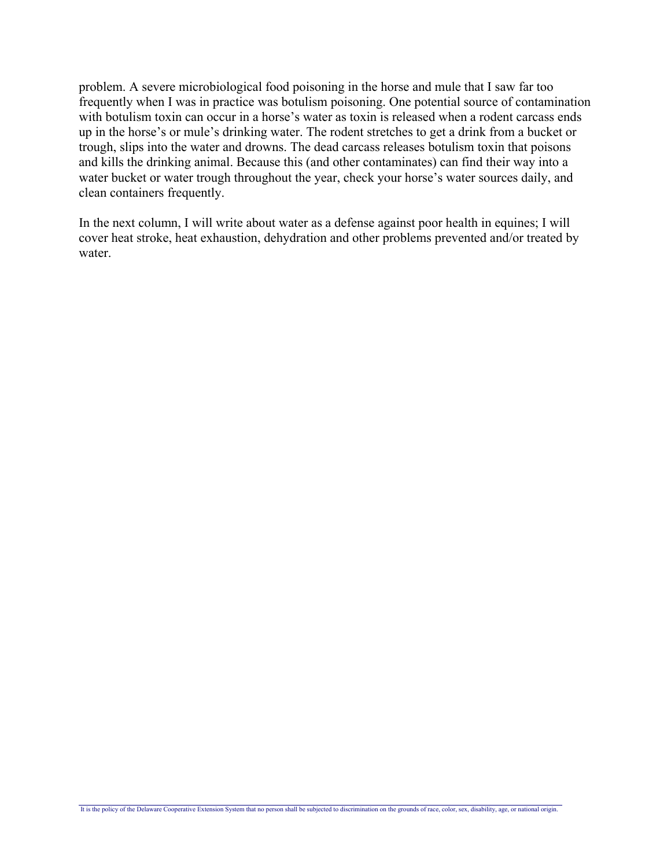problem. A severe microbiological food poisoning in the horse and mule that I saw far too frequently when I was in practice was botulism poisoning. One potential source of contamination with botulism toxin can occur in a horse's water as toxin is released when a rodent carcass ends up in the horse's or mule's drinking water. The rodent stretches to get a drink from a bucket or trough, slips into the water and drowns. The dead carcass releases botulism toxin that poisons and kills the drinking animal. Because this (and other contaminates) can find their way into a water bucket or water trough throughout the year, check your horse's water sources daily, and clean containers frequently.

In the next column, I will write about water as a defense against poor health in equines; I will cover heat stroke, heat exhaustion, dehydration and other problems prevented and/or treated by water.